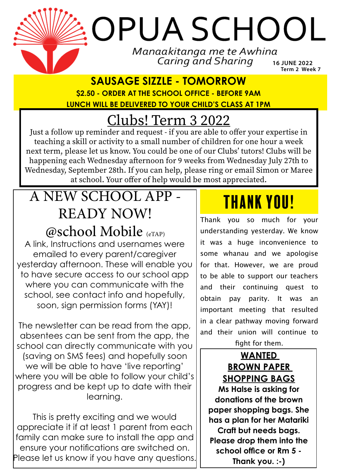# OPUA SCHOOL Manaakitanga me te Awhina Caring and Sharing

**Term 2 Week 7 16 JUNE 2022**

#### **SAUSAGE SIZZLE - TOMORROW**

**\$2.50 - ORDER AT THE SCHOOL OFFICE - BEFORE 9AM LUNCH WILL BE DELIVERED TO YOUR CHILD'S CLASS AT 1PM**

### Clubs! Term 3 2022

Just a follow up reminder and request - if you are able to offer your expertise in teaching a skill or activity to a small number of children for one hour a week next term, please let us know. You could be one of our Clubs' tutors! Clubs will be happening each Wednesday afternoon for 9 weeks from Wednesday July 27th to Wednesday, September 28th. If you can help, please ring or email Simon or Maree at school. Your offer of help would be most appreciated.

## A NEW SCHOOL APP - READY NOW!

@school Mobile (eTAP) A link, Instructions and usernames were emailed to every parent/caregiver yesterday afternoon. These will enable you to have secure access to our school app where you can communicate with the school, see contact info and hopefully, soon, sign permission forms (YAY)!

The newsletter can be read from the app, absentees can be sent from the app, the school can directly communicate with you (saving on SMS fees) and hopefully soon we will be able to have 'live reporting' where you will be able to follow your child's progress and be kept up to date with their learning.

This is pretty exciting and we would appreciate it if at least 1 parent from each family can make sure to install the app and ensure your notifications are switched on. Please let us know if you have any questions.

# THANK YOU!

Thank you so much for your understanding yesterday. We know it was a huge inconvenience to some whanau and we apologise for that. However, we are proud to be able to support our teachers and their continuing quest to obtain pay parity. It was an important meeting that resulted in a clear pathway moving forward and their union will continue to

fight for them.

#### **WANTED BROWN PAPER SHOPPING BAGS**

**Ms Halse is asking for donations of the brown paper shopping bags. She has a plan for her Matariki Craft but needs bags. Please drop them into the school office or Rm 5 - Thank you. :-)**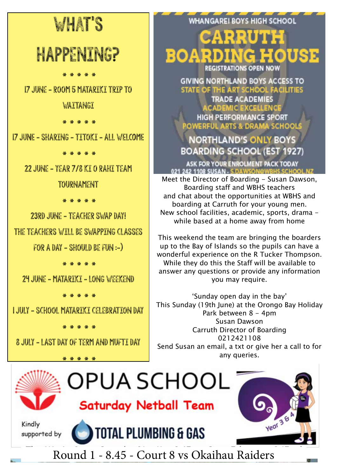## What's

# HAPPENING?

17 JUNE - ROOM 5 MATARIKI TRIP TO

\* \* \* \*

WAITANGI

\* \* \* \* \*

17 June - SHARING - TITOKI - All Welcome

\* \* \* \*

22 JUNE - YEAR 7/8 KI O RAHI TEAM

TOURNAMENT

\* \* \* \* \*

23RD JUNE - TEACHER SWAP DAY! THE TEACHERS WILL BE SWAPPING CLASSES

FOR A DAY - SHOULD BE FUN :-)

\* \* \* \* \*

24 JUNE - MATARIKI - LONG WEEKEND

\* \* \* \* \*

1 JULY - SCHOOL MATARIKI CELEBRATION DAY

8 JULY - LAST DAY OF TERM AND MUFTI DAY

\* \* \* \* \*

\* \* \* \*

**WHANGAREI BOYS HIGH SCHOOL** 

330 **BOAR** OUSE **REGISTRATIONS OPEN NOW** 

**GIVING NORTHLAND BOYS ACCESS TO** STATE OF THE ART SCHOOL FACILITIES

**TRADE ACADEMIES ACADEMIC EXCELLENCE HIGH PERFORMANCE SPORT** OWERFUL ARTS & DRAMA SCHOOLS

**NORTHLAND'S ONLY BOYS BOARDING SCHOOL (EST 1927)** 

ASK FOR YOUR ENROLMENT PACK TODAY 021 242 1108 SUSAN - S DAWSON@WRHS SCHOOL

Meet the Director of Boarding - Susan Dawson, Boarding staff and WBHS teachers and chat about the opportunities at WBHS and boarding at Carruth for your young men. New school facilities, academic, sports, drama while based at a home away from home

This weekend the team are bringing the boarders up to the Bay of Islands so the pupils can have a wonderful experience on the R Tucker Thompson. While they do this the Staff will be available to answer any questions or provide any information you may require.

'Sunday open day in the bay' This Sunday (19th June) at the Orongo Bay Holiday Park between 8 - 4pm Susan Dawson Carruth Director of Boarding 0212421108 Send Susan an email, a txt or give her a call to for any queries.



OPUA SCHOOL **Saturday Netball Team** 

Kindly supported by





Round 1 - 8.45 - Court 8 vs Okaihau Raiders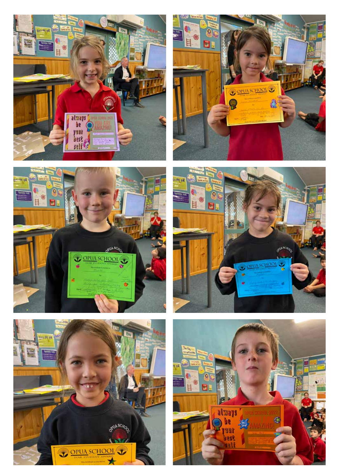









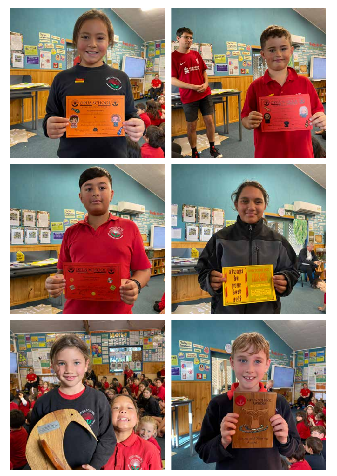









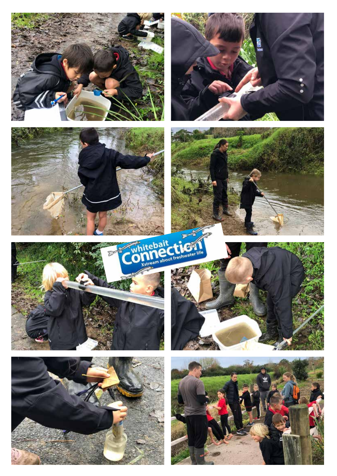